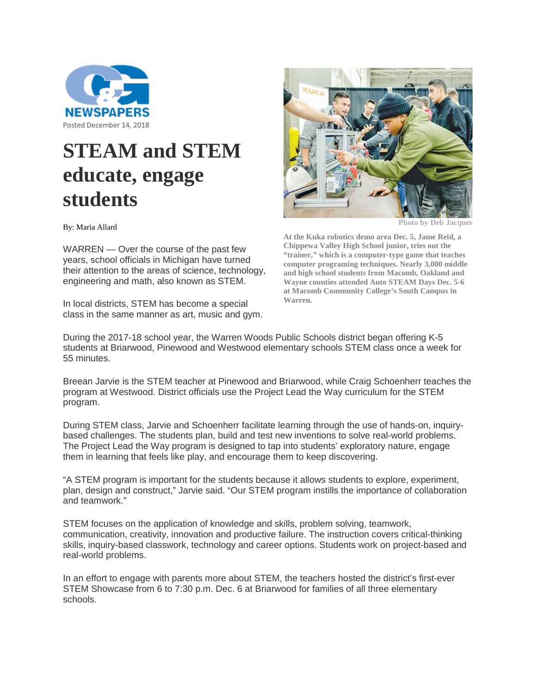

## **STEAM and STEM educate, engage students**



**Photo by Deb Jacques**

By: Maria Allard

WARREN — Over the course of the past few years, school officials in Michigan have turned their attention to the areas of science, technology, engineering and math, also known as STEM.

In local districts, STEM has become a special class in the same manner as art, music and gym.

**At the Kuka robotics demo area Dec. 5, Jame Reid, a Chippewa Valley High School junior, tries out the "trainer," which is a computer-type game that teaches computer programing techniques. Nearly 3,000 middle and high school students from Macomb, Oakland and Wayne counties attended Auto STEAM Days Dec. 5-6 at Macomb Community College's South Campus in Warren.**

During the 2017-18 school year, the Warren Woods Public Schools district began offering K-5 students at Briarwood, Pinewood and Westwood elementary schools STEM class once a week for 55 minutes.

Breean Jarvie is the STEM teacher at Pinewood and Briarwood, while Craig Schoenherr teaches the program at Westwood. District officials use the Project Lead the Way curriculum for the STEM program.

During STEM class, Jarvie and Schoenherr facilitate learning through the use of hands-on, inquirybased challenges. The students plan, build and test new inventions to solve real-world problems. The Project Lead the Way program is designed to tap into students' exploratory nature, engage them in learning that feels like play, and encourage them to keep discovering.

"A STEM program is important for the students because it allows students to explore, experiment, plan, design and construct," Jarvie said. "Our STEM program instills the importance of collaboration and teamwork."

STEM focuses on the application of knowledge and skills, problem solving, teamwork, communication, creativity, innovation and productive failure. The instruction covers critical-thinking skills, inquiry-based classwork, technology and career options. Students work on project-based and real-world problems.

In an effort to engage with parents more about STEM, the teachers hosted the district's first-ever STEM Showcase from 6 to 7:30 p.m. Dec. 6 at Briarwood for families of all three elementary schools.